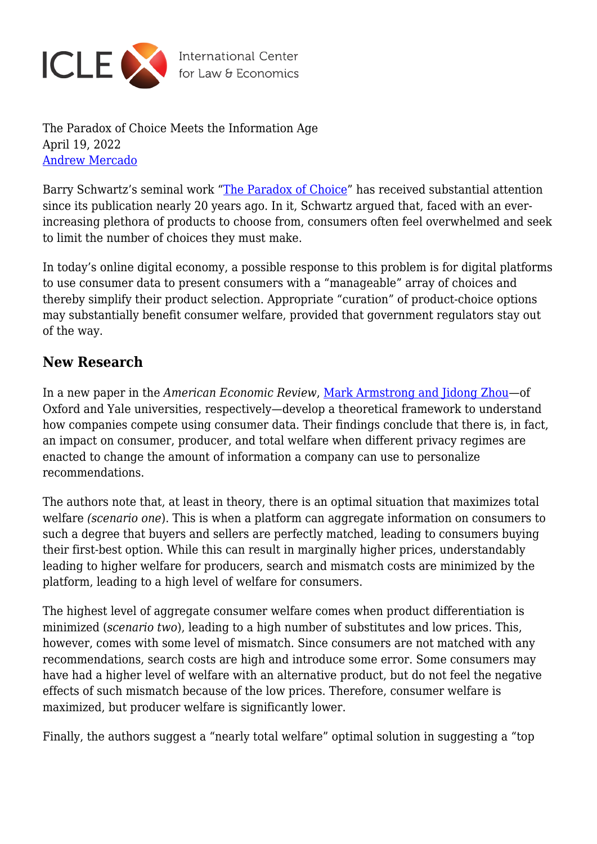

The Paradox of Choice Meets the Information Age April 19, 2022 [Andrew Mercado](https://laweconcenter.org/author/amercado/)

Barry Schwartz's seminal work "[The Paradox of Choice](https://works.swarthmore.edu/fac-psychology/198/)" has received substantial attention since its publication nearly 20 years ago. In it, Schwartz argued that, faced with an everincreasing plethora of products to choose from, consumers often feel overwhelmed and seek to limit the number of choices they must make.

In today's online digital economy, a possible response to this problem is for digital platforms to use consumer data to present consumers with a "manageable" array of choices and thereby simplify their product selection. Appropriate "curation" of product-choice options may substantially benefit consumer welfare, provided that government regulators stay out of the way.

## **New Research**

In a new paper in the *American Economic Review*, [Mark Armstrong and Jidong Zhou—](https://www.aeaweb.org/articles?id=10.1257/aer.20210083)of Oxford and Yale universities, respectively—develop a theoretical framework to understand how companies compete using consumer data. Their findings conclude that there is, in fact, an impact on consumer, producer, and total welfare when different privacy regimes are enacted to change the amount of information a company can use to personalize recommendations.

The authors note that, at least in theory, there is an optimal situation that maximizes total welfare *(scenario one*). This is when a platform can aggregate information on consumers to such a degree that buyers and sellers are perfectly matched, leading to consumers buying their first-best option. While this can result in marginally higher prices, understandably leading to higher welfare for producers, search and mismatch costs are minimized by the platform, leading to a high level of welfare for consumers.

The highest level of aggregate consumer welfare comes when product differentiation is minimized (*scenario two*), leading to a high number of substitutes and low prices. This, however, comes with some level of mismatch. Since consumers are not matched with any recommendations, search costs are high and introduce some error. Some consumers may have had a higher level of welfare with an alternative product, but do not feel the negative effects of such mismatch because of the low prices. Therefore, consumer welfare is maximized, but producer welfare is significantly lower.

Finally, the authors suggest a "nearly total welfare" optimal solution in suggesting a "top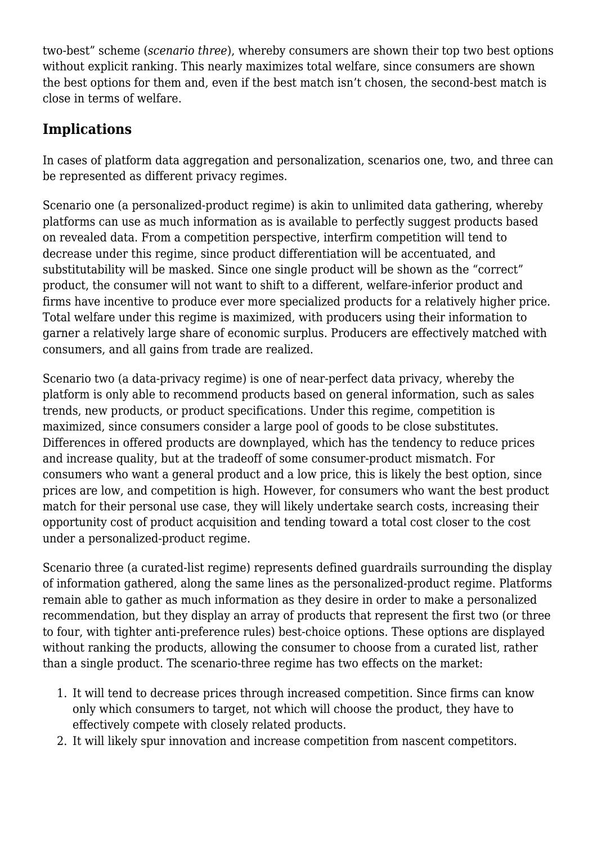two-best" scheme (*scenario three*), whereby consumers are shown their top two best options without explicit ranking. This nearly maximizes total welfare, since consumers are shown the best options for them and, even if the best match isn't chosen, the second-best match is close in terms of welfare.

# **Implications**

In cases of platform data aggregation and personalization, scenarios one, two, and three can be represented as different privacy regimes.

Scenario one (a personalized-product regime) is akin to unlimited data gathering, whereby platforms can use as much information as is available to perfectly suggest products based on revealed data. From a competition perspective, interfirm competition will tend to decrease under this regime, since product differentiation will be accentuated, and substitutability will be masked. Since one single product will be shown as the "correct" product, the consumer will not want to shift to a different, welfare-inferior product and firms have incentive to produce ever more specialized products for a relatively higher price. Total welfare under this regime is maximized, with producers using their information to garner a relatively large share of economic surplus. Producers are effectively matched with consumers, and all gains from trade are realized.

Scenario two (a data-privacy regime) is one of near-perfect data privacy, whereby the platform is only able to recommend products based on general information, such as sales trends, new products, or product specifications. Under this regime, competition is maximized, since consumers consider a large pool of goods to be close substitutes. Differences in offered products are downplayed, which has the tendency to reduce prices and increase quality, but at the tradeoff of some consumer-product mismatch. For consumers who want a general product and a low price, this is likely the best option, since prices are low, and competition is high. However, for consumers who want the best product match for their personal use case, they will likely undertake search costs, increasing their opportunity cost of product acquisition and tending toward a total cost closer to the cost under a personalized-product regime.

Scenario three (a curated-list regime) represents defined guardrails surrounding the display of information gathered, along the same lines as the personalized-product regime. Platforms remain able to gather as much information as they desire in order to make a personalized recommendation, but they display an array of products that represent the first two (or three to four, with tighter anti-preference rules) best-choice options. These options are displayed without ranking the products, allowing the consumer to choose from a curated list, rather than a single product. The scenario-three regime has two effects on the market:

- 1. It will tend to decrease prices through increased competition. Since firms can know only which consumers to target, not which will choose the product, they have to effectively compete with closely related products.
- 2. It will likely spur innovation and increase competition from nascent competitors.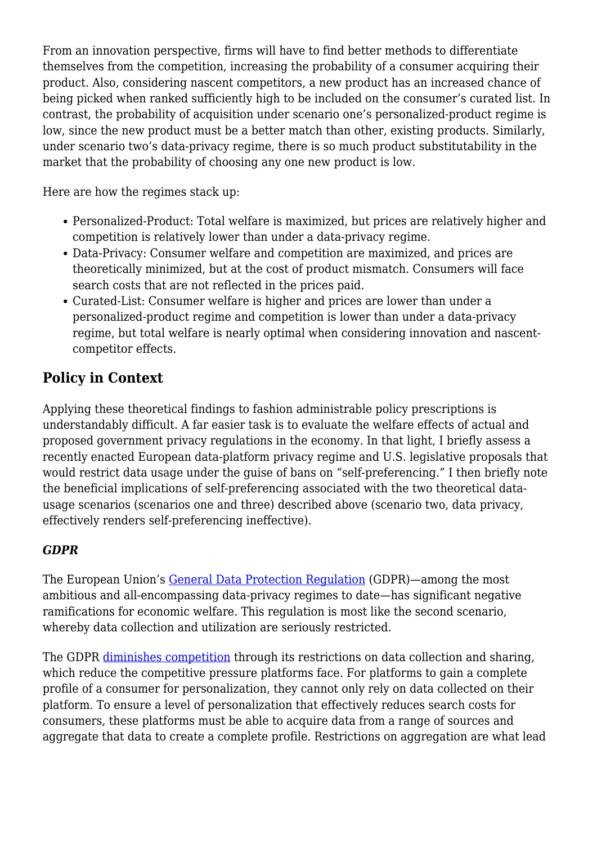From an innovation perspective, firms will have to find better methods to differentiate themselves from the competition, increasing the probability of a consumer acquiring their product. Also, considering nascent competitors, a new product has an increased chance of being picked when ranked sufficiently high to be included on the consumer's curated list. In contrast, the probability of acquisition under scenario one's personalized-product regime is low, since the new product must be a better match than other, existing products. Similarly, under scenario two's data-privacy regime, there is so much product substitutability in the market that the probability of choosing any one new product is low.

Here are how the regimes stack up:

- Personalized-Product: Total welfare is maximized, but prices are relatively higher and competition is relatively lower than under a data-privacy regime.
- Data-Privacy: Consumer welfare and competition are maximized, and prices are theoretically minimized, but at the cost of product mismatch. Consumers will face search costs that are not reflected in the prices paid.
- Curated-List: Consumer welfare is higher and prices are lower than under a personalized-product regime and competition is lower than under a data-privacy regime, but total welfare is nearly optimal when considering innovation and nascentcompetitor effects.

## **Policy in Context**

Applying these theoretical findings to fashion administrable policy prescriptions is understandably difficult. A far easier task is to evaluate the welfare effects of actual and proposed government privacy regulations in the economy. In that light, I briefly assess a recently enacted European data-platform privacy regime and U.S. legislative proposals that would restrict data usage under the guise of bans on "self-preferencing." I then briefly note the beneficial implications of self-preferencing associated with the two theoretical datausage scenarios (scenarios one and three) described above (scenario two, data privacy, effectively renders self-preferencing ineffective).

#### *GDPR*

The European Union's [General Data Protection Regulation](https://gdpr-info.eu/) (GDPR)—among the most ambitious and all-encompassing data-privacy regimes to date—has significant negative ramifications for economic welfare. This regulation is most like the second scenario, whereby data collection and utilization are seriously restricted.

The GDPR [diminishes competition](https://papers.ssrn.com/sol3/papers.cfm?abstract_id=3548444) through its restrictions on data collection and sharing, which reduce the competitive pressure platforms face. For platforms to gain a complete profile of a consumer for personalization, they cannot only rely on data collected on their platform. To ensure a level of personalization that effectively reduces search costs for consumers, these platforms must be able to acquire data from a range of sources and aggregate that data to create a complete profile. Restrictions on aggregation are what lead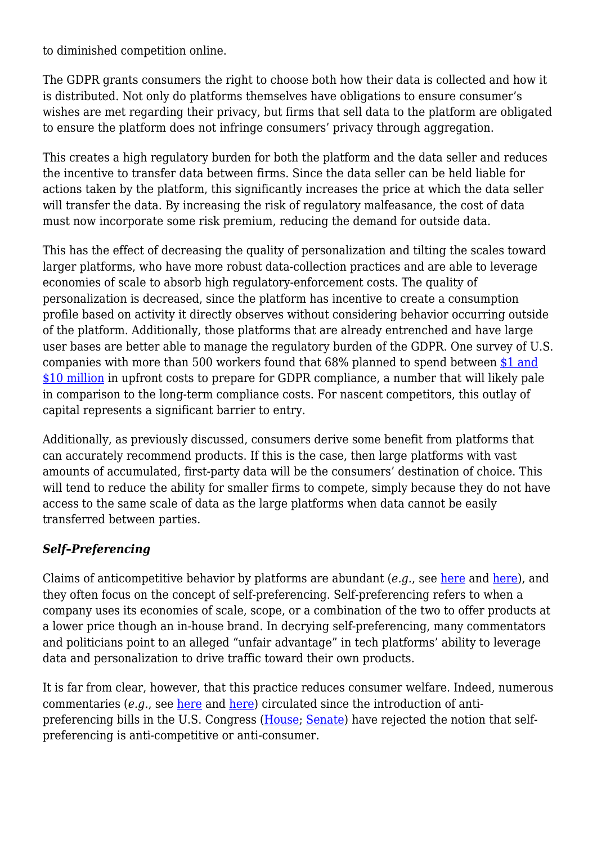to diminished competition online.

The GDPR grants consumers the right to choose both how their data is collected and how it is distributed. Not only do platforms themselves have obligations to ensure consumer's wishes are met regarding their privacy, but firms that sell data to the platform are obligated to ensure the platform does not infringe consumers' privacy through aggregation.

This creates a high regulatory burden for both the platform and the data seller and reduces the incentive to transfer data between firms. Since the data seller can be held liable for actions taken by the platform, this significantly increases the price at which the data seller will transfer the data. By increasing the risk of regulatory malfeasance, the cost of data must now incorporate some risk premium, reducing the demand for outside data.

This has the effect of decreasing the quality of personalization and tilting the scales toward larger platforms, who have more robust data-collection practices and are able to leverage economies of scale to absorb high regulatory-enforcement costs. The quality of personalization is decreased, since the platform has incentive to create a consumption profile based on activity it directly observes without considering behavior occurring outside of the platform. Additionally, those platforms that are already entrenched and have large user bases are better able to manage the regulatory burden of the GDPR. One survey of U.S. companies with more than 500 workers found that 68% planned to spend between [\\$1 and](https://truthonthemarket.com/2019/05/24/gdpr-after-one-year-costs-and-unintended-consequences/) [\\$10 million](https://truthonthemarket.com/2019/05/24/gdpr-after-one-year-costs-and-unintended-consequences/) in upfront costs to prepare for GDPR compliance, a number that will likely pale in comparison to the long-term compliance costs. For nascent competitors, this outlay of capital represents a significant barrier to entry.

Additionally, as previously discussed, consumers derive some benefit from platforms that can accurately recommend products. If this is the case, then large platforms with vast amounts of accumulated, first-party data will be the consumers' destination of choice. This will tend to reduce the ability for smaller firms to compete, simply because they do not have access to the same scale of data as the large platforms when data cannot be easily transferred between parties.

### *Self***–***Preferencing*

Claims of anticompetitive behavior by platforms are abundant (*e.g.*, see [here](https://www.yalelawjournal.org/pdf/e.710.Khan.805_zuvfyyeh.pdf) and [here](https://www.vox.com/recode/22836368/amazon-antitrust-ftc-marketplace)), and they often focus on the concept of self-preferencing. Self-preferencing refers to when a company uses its economies of scale, scope, or a combination of the two to offer products at a lower price though an in-house brand. In decrying self-preferencing, many commentators and politicians point to an alleged "unfair advantage" in tech platforms' ability to leverage data and personalization to drive traffic toward their own products.

It is far from clear, however, that this practice reduces consumer welfare. Indeed, numerous commentaries (*e.g.*, see [here](https://truthonthemarket.com/2021/03/04/platform-self-preferencing-can-be-good-for-consumers-and-even-competitors/) and [here\)](https://itif.org/publications/2021/10/25/please-help-yourself-toward-taxonomy-self-preferencing) circulated since the introduction of antipreferencing bills in the U.S. Congress ([House](https://www.congress.gov/bill/117th-congress/house-bill/3816/text?r=43&s=1); [Senate](https://www.congress.gov/bill/117th-congress/senate-bill/2992/text)) have rejected the notion that selfpreferencing is anti-competitive or anti-consumer.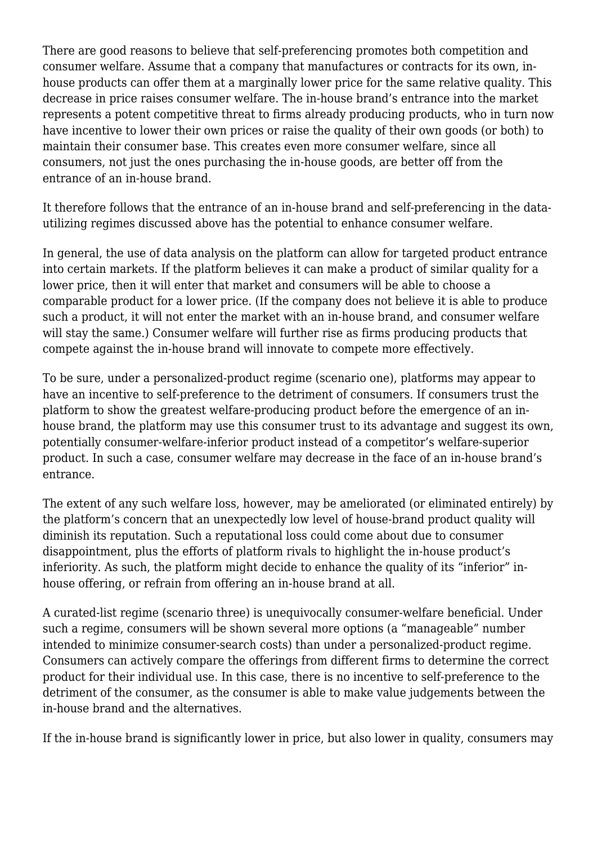There are good reasons to believe that self-preferencing promotes both competition and consumer welfare. Assume that a company that manufactures or contracts for its own, inhouse products can offer them at a marginally lower price for the same relative quality. This decrease in price raises consumer welfare. The in-house brand's entrance into the market represents a potent competitive threat to firms already producing products, who in turn now have incentive to lower their own prices or raise the quality of their own goods (or both) to maintain their consumer base. This creates even more consumer welfare, since all consumers, not just the ones purchasing the in-house goods, are better off from the entrance of an in-house brand.

It therefore follows that the entrance of an in-house brand and self-preferencing in the datautilizing regimes discussed above has the potential to enhance consumer welfare.

In general, the use of data analysis on the platform can allow for targeted product entrance into certain markets. If the platform believes it can make a product of similar quality for a lower price, then it will enter that market and consumers will be able to choose a comparable product for a lower price. (If the company does not believe it is able to produce such a product, it will not enter the market with an in-house brand, and consumer welfare will stay the same.) Consumer welfare will further rise as firms producing products that compete against the in-house brand will innovate to compete more effectively.

To be sure, under a personalized-product regime (scenario one), platforms may appear to have an incentive to self-preference to the detriment of consumers. If consumers trust the platform to show the greatest welfare-producing product before the emergence of an inhouse brand, the platform may use this consumer trust to its advantage and suggest its own, potentially consumer-welfare-inferior product instead of a competitor's welfare-superior product. In such a case, consumer welfare may decrease in the face of an in-house brand's entrance.

The extent of any such welfare loss, however, may be ameliorated (or eliminated entirely) by the platform's concern that an unexpectedly low level of house-brand product quality will diminish its reputation. Such a reputational loss could come about due to consumer disappointment, plus the efforts of platform rivals to highlight the in-house product's inferiority. As such, the platform might decide to enhance the quality of its "inferior" inhouse offering, or refrain from offering an in-house brand at all.

A curated-list regime (scenario three) is unequivocally consumer-welfare beneficial. Under such a regime, consumers will be shown several more options (a "manageable" number intended to minimize consumer-search costs) than under a personalized-product regime. Consumers can actively compare the offerings from different firms to determine the correct product for their individual use. In this case, there is no incentive to self-preference to the detriment of the consumer, as the consumer is able to make value judgements between the in-house brand and the alternatives.

If the in-house brand is significantly lower in price, but also lower in quality, consumers may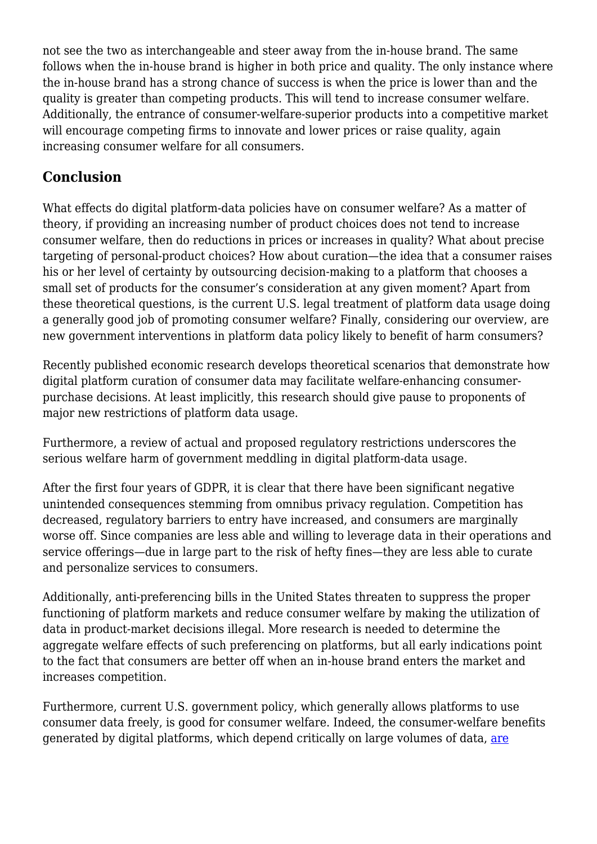not see the two as interchangeable and steer away from the in-house brand. The same follows when the in-house brand is higher in both price and quality. The only instance where the in-house brand has a strong chance of success is when the price is lower than and the quality is greater than competing products. This will tend to increase consumer welfare. Additionally, the entrance of consumer-welfare-superior products into a competitive market will encourage competing firms to innovate and lower prices or raise quality, again increasing consumer welfare for all consumers.

# **Conclusion**

What effects do digital platform-data policies have on consumer welfare? As a matter of theory, if providing an increasing number of product choices does not tend to increase consumer welfare, then do reductions in prices or increases in quality? What about precise targeting of personal-product choices? How about curation—the idea that a consumer raises his or her level of certainty by outsourcing decision-making to a platform that chooses a small set of products for the consumer's consideration at any given moment? Apart from these theoretical questions, is the current U.S. legal treatment of platform data usage doing a generally good job of promoting consumer welfare? Finally, considering our overview, are new government interventions in platform data policy likely to benefit of harm consumers?

Recently published economic research develops theoretical scenarios that demonstrate how digital platform curation of consumer data may facilitate welfare-enhancing consumerpurchase decisions. At least implicitly, this research should give pause to proponents of major new restrictions of platform data usage.

Furthermore, a review of actual and proposed regulatory restrictions underscores the serious welfare harm of government meddling in digital platform-data usage.

After the first four years of GDPR, it is clear that there have been significant negative unintended consequences stemming from omnibus privacy regulation. Competition has decreased, regulatory barriers to entry have increased, and consumers are marginally worse off. Since companies are less able and willing to leverage data in their operations and service offerings—due in large part to the risk of hefty fines—they are less able to curate and personalize services to consumers.

Additionally, anti-preferencing bills in the United States threaten to suppress the proper functioning of platform markets and reduce consumer welfare by making the utilization of data in product-market decisions illegal. More research is needed to determine the aggregate welfare effects of such preferencing on platforms, but all early indications point to the fact that consumers are better off when an in-house brand enters the market and increases competition.

Furthermore, current U.S. government policy, which generally allows platforms to use consumer data freely, is good for consumer welfare. Indeed, the consumer-welfare benefits generated by digital platforms, which depend critically on large volumes of data, [are](https://truthonthemarket.com/2022/04/15/lina-khans-privacy-proposals-are-at-odds-with-market-principles-and-consumer-welfare/)